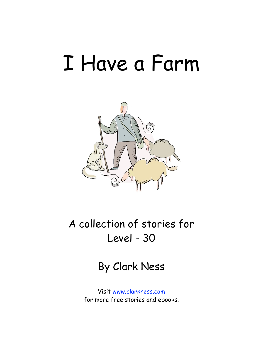## I Have a Farm



A collection of stories for Level - 30

By Clark Ness

Visit [www.clarkness.com](http://www.clarkness.com) for more free stories and ebooks.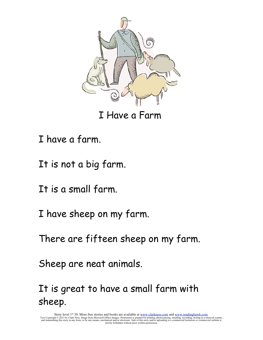

I Have a Farm

- I have a farm.
- It is not a big farm.
- It is a small farm.
- I have sheep on my farm.
- There are fifteen sheep on my farm.
- Sheep are neat animals.

It is great to have a small farm with sheep.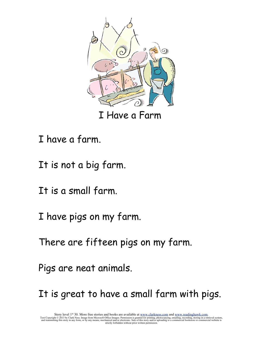

I Have a Farm

- I have a farm.
- It is not a big farm.
- It is a small farm.
- I have pigs on my farm.
- There are fifteen pigs on my farm.
- Pigs are neat animals.
- It is great to have a small farm with pigs.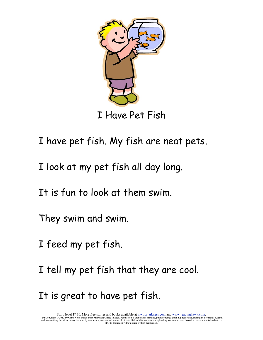

I Have Pet Fish

- I have pet fish. My fish are neat pets.
- I look at my pet fish all day long.
- It is fun to look at them swim.
- They swim and swim.
- I feed my pet fish.
- I tell my pet fish that they are cool.
- It is great to have pet fish.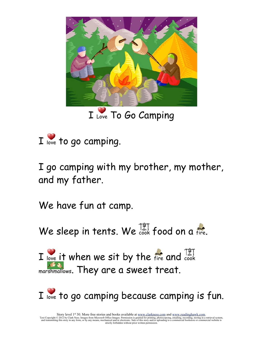

I Love To Go Camping



I go camping with my brother, my mother, and my father.

We have fun at camp.

We sleep in tents. We  $\frac{127}{1000}$  food on a fire.

I love it when we sit by the  $f_{\text{free}}$  and  $\frac{|\xi|}{\text{cook}}$ marshmallows. They are a sweet treat.

I love to go camping because camping is fun.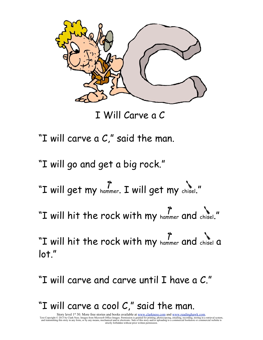

I Will Carve a C

- "I will carve a C," said the man.
- "I will go and get a big rock."
- "I will get my hammer. I will get my chisel."
- "I will hit the rock with my hammer and chisel."
- "I will hit the rock with my hammer and chisel a lot."
- "I will carve and carve until I have a C."
- "I will carve a cool C," said the man.

Story level 1<sup>st</sup> 30. More free stories and books available at <u>www.clarkness.com</u> and <u>www.readinghawk.com</u>.<br>Text Copyright © 2013 by Clark Ness. Images from Microsoft Office Images. Permission is granted for printing, p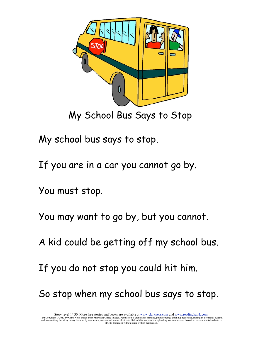

My School Bus Says to Stop

My school bus says to stop.

If you are in a car you cannot go by.

You must stop.

You may want to go by, but you cannot.

A kid could be getting off my school bus.

If you do not stop you could hit him.

So stop when my school bus says to stop.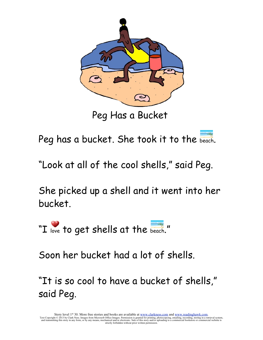

Peg Has a Bucket

Peg has a bucket. She took it to the beach.

"Look at all of the cool shells," said Peg.

She picked up a shell and it went into her bucket.

"I love to get shells at the beach."

Soon her bucket had a lot of shells.

"It is so cool to have a bucket of shells," said Peg.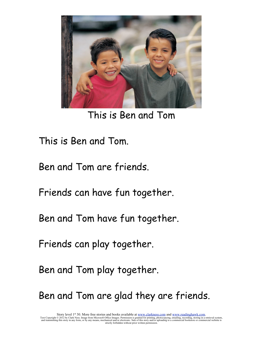

This is Ben and Tom

This is Ben and Tom.

Ben and Tom are friends.

Friends can have fun together.

Ben and Tom have fun together.

Friends can play together.

Ben and Tom play together.

Ben and Tom are glad they are friends.